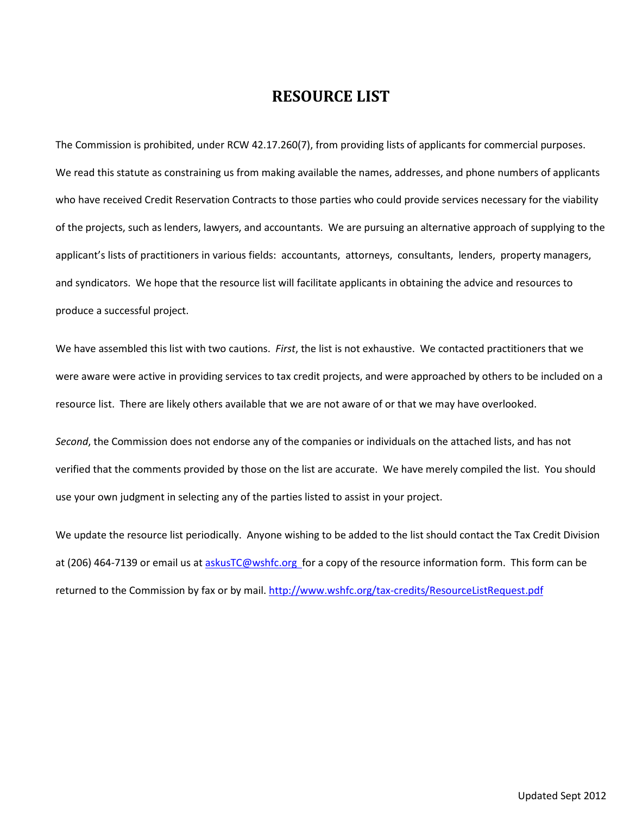# **RESOURCE LIST**

The Commission is prohibited, under RCW 42.17.260(7), from providing lists of applicants for commercial purposes. We read this statute as constraining us from making available the names, addresses, and phone numbers of applicants who have received Credit Reservation Contracts to those parties who could provide services necessary for the viability of the projects, such as lenders, lawyers, and accountants. We are pursuing an alternative approach of supplying to the applicant's lists of practitioners in various fields: accountants, attorneys, consultants, lenders, property managers, and syndicators. We hope that the resource list will facilitate applicants in obtaining the advice and resources to produce a successful project.

We have assembled this list with two cautions. *First*, the list is not exhaustive. We contacted practitioners that we were aware were active in providing services to tax credit projects, and were approached by others to be included on a resource list. There are likely others available that we are not aware of or that we may have overlooked.

*Second*, the Commission does not endorse any of the companies or individuals on the attached lists, and has not verified that the comments provided by those on the list are accurate. We have merely compiled the list. You should use your own judgment in selecting any of the parties listed to assist in your project.

We update the resource list periodically. Anyone wishing to be added to the list should contact the Tax Credit Division at (206) 464-7139 or email us at [askusTC@wshfc.org f](mailto:askusTC@wshfc.org)or a copy of the resource information form. This form can be returned to the Commission by fax or by mail.<http://www.wshfc.org/tax-credits/ResourceListRequest.pdf>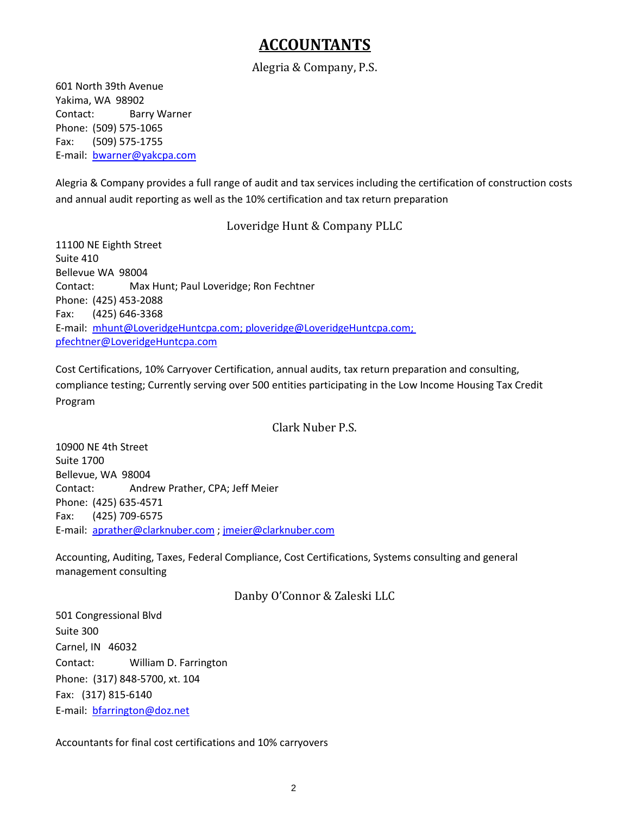# **ACCOUNTANTS**

## Alegria & Company, P.S.

601 North 39th Avenue Yakima, WA 98902 Contact: Barry Warner Phone: (509) 575-1065 Fax: (509) 575-1755 E-mail: [bwarner@yakcpa.com](mailto:bwarner@yakcpa.com)

Alegria & Company provides a full range of audit and tax services including the certification of construction costs and annual audit reporting as well as the 10% certification and tax return preparation

## Loveridge Hunt & Company PLLC

11100 NE Eighth Street Suite 410 Bellevue WA 98004 Contact: Max Hunt; Paul Loveridge; Ron Fechtner Phone: (425) 453-2088 Fax: (425) 646-3368 E-mail: [mhunt@LoveridgeHuntcpa.com; ploveridge@LoveridgeHuntcpa.com;](mailto:mhunt@LoveridgeHuntcpa.com;)  [pfechtner@LoveridgeHuntcpa.com](mailto:pfechtner@LoveridgeHuntcpa.com)

Cost Certifications, 10% Carryover Certification, annual audits, tax return preparation and consulting, compliance testing; Currently serving over 500 entities participating in the Low Income Housing Tax Credit Program

## Clark Nuber P.S.

10900 NE 4th Street Suite 1700 Bellevue, WA 98004 Contact: Andrew Prather, CPA; Jeff Meier Phone: (425) 635-4571 Fax: (425) 709-6575 E-mail: [aprather@clarknuber.com](mailto:aprather@clarknuber.com) [; jmeier@clarknuber.com](mailto:jmeier@clarknuber.com)

Accounting, Auditing, Taxes, Federal Compliance, Cost Certifications, Systems consulting and general management consulting

Danby O'Connor & Zaleski LLC

501 Congressional Blvd Suite 300 Carnel, IN 46032 Contact: William D. Farrington Phone: (317) 848-5700, xt. 104 Fax: (317) 815-6140 E-mail: [bfarrington@doz.net](mailto:bfarrington@doz.net)

Accountants for final cost certifications and 10% carryovers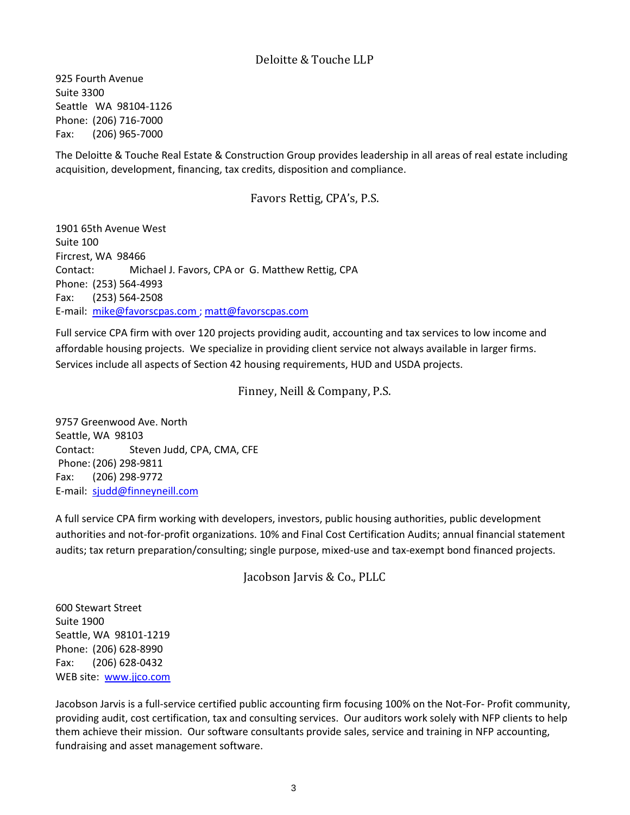925 Fourth Avenue Suite 3300 Seattle WA 98104-1126 Phone: (206) 716-7000 Fax: (206) 965-7000

The Deloitte & Touche Real Estate & Construction Group provides leadership in all areas of real estate including acquisition, development, financing, tax credits, disposition and compliance.

## Favors Rettig, CPA's, P.S.

1901 65th Avenue West Suite 100 Fircrest, WA 98466 Contact: Michael J. Favors, CPA or G. Matthew Rettig, CPA Phone: (253) 564-4993 Fax: (253) 564-2508 E-mail: [mike@favorscpas.com ;](mailto:mike@favorscpas.com) [matt@favorscpas.com](mailto:matt@favorscpas.com)

Full service CPA firm with over 120 projects providing audit, accounting and tax services to low income and affordable housing projects. We specialize in providing client service not always available in larger firms. Services include all aspects of Section 42 housing requirements, HUD and USDA projects.

## Finney, Neill & Company, P.S.

9757 Greenwood Ave. North Seattle, WA 98103 Contact: Steven Judd, CPA, CMA, CFE Phone: (206) 298-9811 Fax: (206) 298-9772 E-mail: [sjudd@finneyneill.com](mailto:sjudd@finneyneill.com)

A full service CPA firm working with developers, investors, public housing authorities, public development authorities and not-for-profit organizations. 10% and Final Cost Certification Audits; annual financial statement audits; tax return preparation/consulting; single purpose, mixed-use and tax-exempt bond financed projects.

Jacobson Jarvis & Co., PLLC

600 Stewart Street Suite 1900 Seattle, WA 98101-1219 Phone: (206) 628-8990 Fax: (206) 628-0432 WEB site: [www.jjco.com](http://www.jjco.com/)

Jacobson Jarvis is a full-service certified public accounting firm focusing 100% on the Not-For- Profit community, providing audit, cost certification, tax and consulting services. Our auditors work solely with NFP clients to help them achieve their mission. Our software consultants provide sales, service and training in NFP accounting, fundraising and asset management software.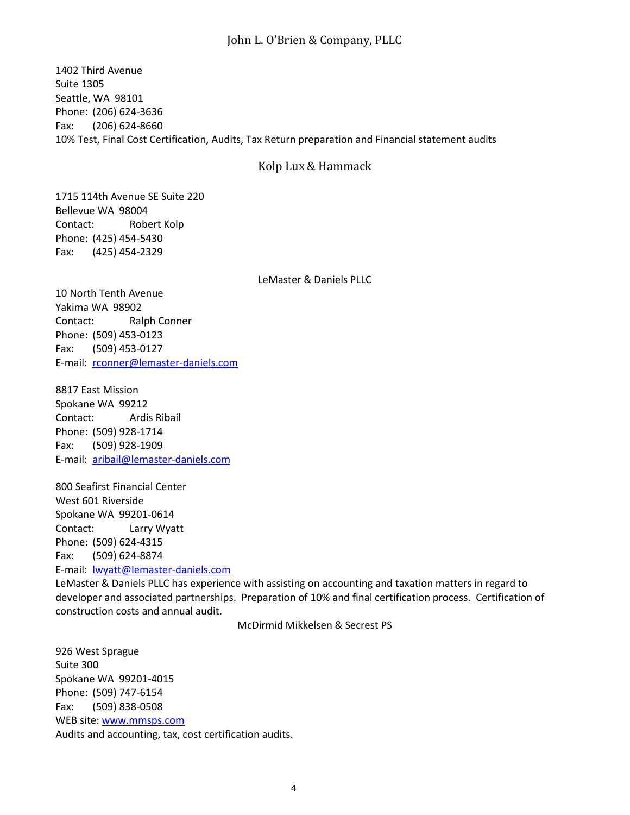## John L. O'Brien & Company, PLLC

1402 Third Avenue Suite 1305 Seattle, WA 98101 Phone: (206) 624-3636 Fax: (206) 624-8660 10% Test, Final Cost Certification, Audits, Tax Return preparation and Financial statement audits

#### Kolp Lux & Hammack

1715 114th Avenue SE Suite 220 Bellevue WA 98004 Contact: Robert Kolp Phone: (425) 454-5430 Fax: (425) 454-2329

LeMaster & Daniels PLLC

10 North Tenth Avenue Yakima WA 98902 Contact: Ralph Conner Phone: (509) 453-0123 Fax: (509) 453-0127 E-mail: [rconner@lemaster-daniels.com](mailto:rconner@lemaster-daniels.com)

8817 East Mission Spokane WA 99212 Contact: Ardis Ribail Phone: (509) 928-1714 Fax: (509) 928-1909 E-mail: [aribail@lemaster-daniels.com](mailto:aribail@lemaster-daniels.com)

800 Seafirst Financial Center West 601 Riverside Spokane WA 99201-0614 Contact: Larry Wyatt Phone: (509) 624-4315 Fax: (509) 624-8874 E-mail: [lwyatt@lemaster-daniels.com](mailto:lwyatt@lemaster-daniels.com)

LeMaster & Daniels PLLC has experience with assisting on accounting and taxation matters in regard to developer and associated partnerships. Preparation of 10% and final certification process. Certification of construction costs and annual audit.

McDirmid Mikkelsen & Secrest PS

926 West Sprague Suite 300 Spokane WA 99201-4015 Phone: (509) 747-6154 Fax: (509) 838-0508 WEB site: [www.mmsps.com](http://www.mmsps.com/) Audits and accounting, tax, cost certification audits.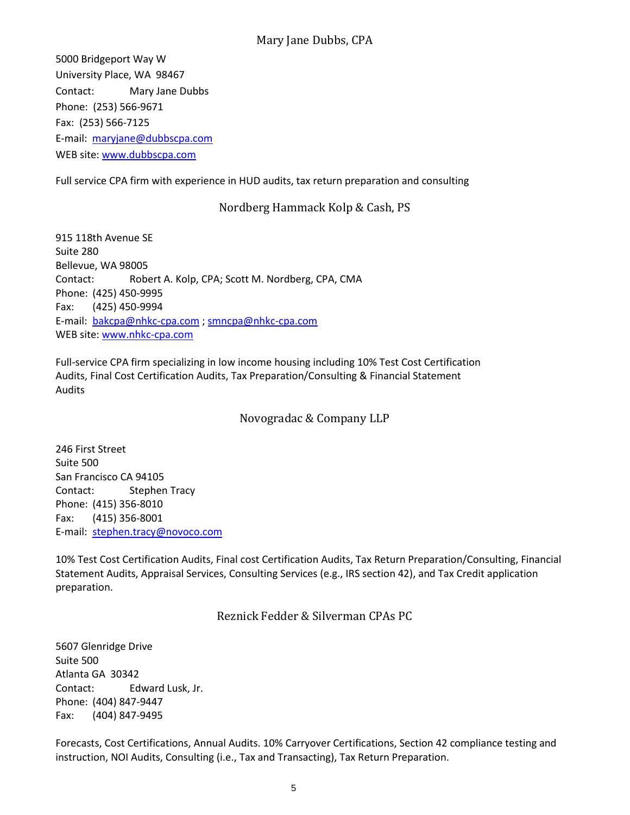## Mary Jane Dubbs, CPA

5000 Bridgeport Way W University Place, WA 98467 Contact: Mary Jane Dubbs Phone: (253) 566-9671 Fax: (253) 566-7125 E-mail: [maryjane@dubbscpa.com](mailto:maryjane@dubbscpa.com) WEB site: [www.dubbscpa.com](http://www.dubbscpa.com/)

Full service CPA firm with experience in HUD audits, tax return preparation and consulting

## Nordberg Hammack Kolp & Cash, PS

915 118th Avenue SE Suite 280 Bellevue, WA 98005 Contact: Robert A. Kolp, CPA; Scott M. Nordberg, CPA, CMA Phone: (425) 450-9995 Fax: (425) 450-9994 E-mail: [bakcpa@nhkc-cpa.com](mailto:bakcpa@nhkc-cpa.com) ; [smncpa@nhkc-cpa.com](mailto:smncpa@nhkc-cpa.com) WEB site: [www.nhkc-cpa.com](http://www.nhkc-cpa.com/)

Full-service CPA firm specializing in low income housing including 10% Test Cost Certification Audits, Final Cost Certification Audits, Tax Preparation/Consulting & Financial Statement Audits

Novogradac & Company LLP

246 First Street Suite 500 San Francisco CA 94105 Contact: Stephen Tracy Phone: (415) 356-8010 Fax: (415) 356-8001 E-mail: [stephen.tracy@novoco.com](mailto:stephen.tracy@novoco.com)

10% Test Cost Certification Audits, Final cost Certification Audits, Tax Return Preparation/Consulting, Financial Statement Audits, Appraisal Services, Consulting Services (e.g., IRS section 42), and Tax Credit application preparation.

Reznick Fedder & Silverman CPAs PC

5607 Glenridge Drive Suite 500 Atlanta GA 30342 Contact: Edward Lusk, Jr. Phone: (404) 847-9447 Fax: (404) 847-9495

Forecasts, Cost Certifications, Annual Audits. 10% Carryover Certifications, Section 42 compliance testing and instruction, NOI Audits, Consulting (i.e., Tax and Transacting), Tax Return Preparation.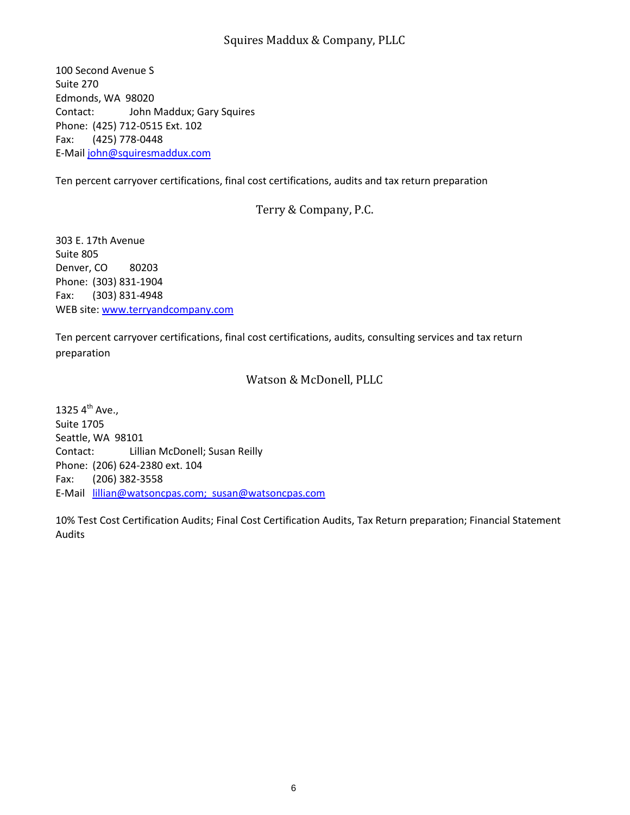## Squires Maddux & Company, PLLC

100 Second Avenue S Suite 270 Edmonds, WA 98020 Contact: John Maddux; Gary Squires Phone: (425) 712-0515 Ext. 102 Fax: (425) 778-0448 E-Mail [john@squiresmaddux.com](mailto:Karen@watsoncpas.com)

Ten percent carryover certifications, final cost certifications, audits and tax return preparation

## Terry & Company, P.C.

303 E. 17th Avenue Suite 805 Denver, CO 80203 Phone: (303) 831-1904 Fax: (303) 831-4948 WEB site: [www.terryandcompany.com](http://www.terryandcompany.com/)

Ten percent carryover certifications, final cost certifications, audits, consulting services and tax return preparation

## Watson & McDonell, PLLC

1325  $4^{th}$  Ave., Suite 1705 Seattle, WA 98101 Contact: Lillian McDonell; Susan Reilly Phone: (206) 624-2380 ext. 104 Fax: (206) 382-3558 E-Mail [lillian@watsoncpas.com; susan@watsoncpas.com](mailto:lillian@watsoncpas.com;)

10% Test Cost Certification Audits; Final Cost Certification Audits, Tax Return preparation; Financial Statement Audits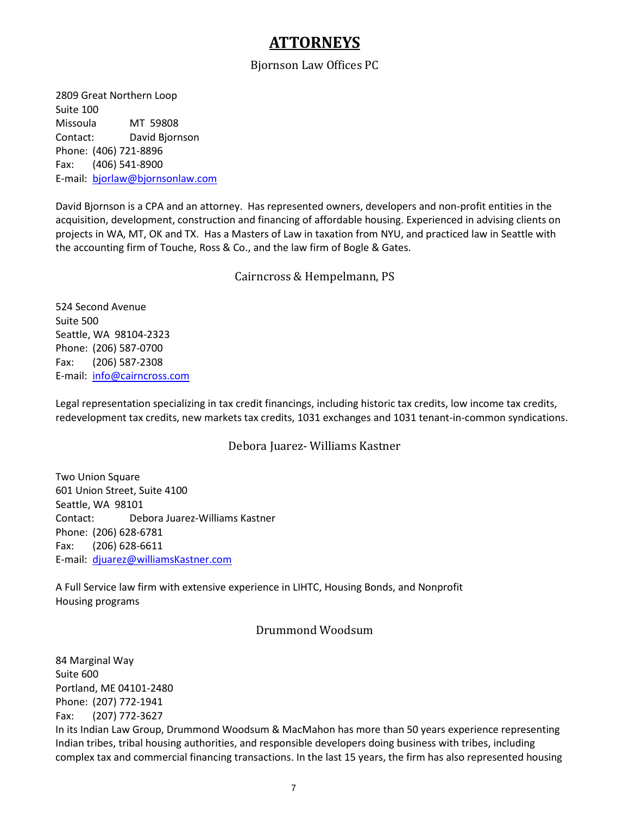# **ATTORNEYS**

### Bjornson Law Offices PC

2809 Great Northern Loop Suite 100 Missoula MT 59808 Contact: David Bjornson Phone: (406) 721-8896 Fax: (406) 541-8900 E-mail: [bjorlaw@bjornsonlaw.com](mailto:bjorlaw@bjornsonlaw.com)

David Bjornson is a CPA and an attorney. Has represented owners, developers and non-profit entities in the acquisition, development, construction and financing of affordable housing. Experienced in advising clients on projects in WA, MT, OK and TX. Has a Masters of Law in taxation from NYU, and practiced law in Seattle with the accounting firm of Touche, Ross & Co., and the law firm of Bogle & Gates.

#### Cairncross & Hempelmann, PS

524 Second Avenue Suite 500 Seattle, WA 98104-2323 Phone: (206) 587-0700 Fax: (206) 587-2308 E-mail: [info@cairncross.com](mailto:info@cairncross.com)

Legal representation specializing in tax credit financings, including historic tax credits, low income tax credits, redevelopment tax credits, new markets tax credits, 1031 exchanges and 1031 tenant-in-common syndications.

## Debora Juarez- Williams Kastner

Two Union Square 601 Union Street, Suite 4100 Seattle, WA 98101 Contact: Debora Juarez-Williams Kastner Phone: (206) 628-6781 Fax: (206) 628-6611 E-mail: [djuarez@williamsKastner.com](mailto:djuarez@williamsKastner.com)

A Full Service law firm with extensive experience in LIHTC, Housing Bonds, and Nonprofit Housing programs

#### Drummond Woodsum

84 Marginal Way Suite 600 Portland, ME 04101-2480 Phone: (207) 772-1941 Fax: (207) 772-3627 In its Indian Law Group, Drummond Woodsum & MacMahon has more than 50 years experience representing Indian tribes, tribal housing authorities, and responsible developers doing business with tribes, including complex tax and commercial financing transactions. In the last 15 years, the firm has also represented housing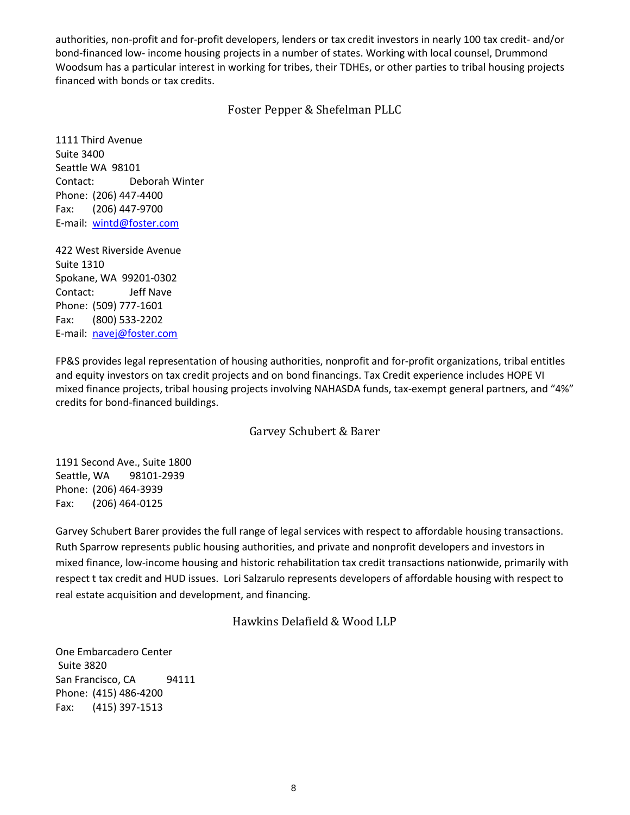authorities, non-profit and for-profit developers, lenders or tax credit investors in nearly 100 tax credit- and/or bond-financed low- income housing projects in a number of states. Working with local counsel, Drummond Woodsum has a particular interest in working for tribes, their TDHEs, or other parties to tribal housing projects financed with bonds or tax credits.

## Foster Pepper & Shefelman PLLC

1111 Third Avenue Suite 3400 Seattle WA 98101 Contact: Deborah Winter Phone: (206) 447-4400 Fax: (206) 447-9700 E-mail: [wintd@foster.com](mailto:wintd@foster.com)

422 West Riverside Avenue Suite 1310 Spokane, WA 99201-0302 Contact: Jeff Nave Phone: (509) 777-1601 Fax: (800) 533-2202 E-mail: [navej@foster.com](mailto:navej@foster.com)

FP&S provides legal representation of housing authorities, nonprofit and for-profit organizations, tribal entitles and equity investors on tax credit projects and on bond financings. Tax Credit experience includes HOPE VI mixed finance projects, tribal housing projects involving NAHASDA funds, tax-exempt general partners, and "4%" credits for bond-financed buildings.

#### Garvey Schubert & Barer

1191 Second Ave., Suite 1800 Seattle, WA 98101-2939 Phone: (206) 464-3939 Fax: (206) 464-0125

Garvey Schubert Barer provides the full range of legal services with respect to affordable housing transactions. Ruth Sparrow represents public housing authorities, and private and nonprofit developers and investors in mixed finance, low-income housing and historic rehabilitation tax credit transactions nationwide, primarily with respect t tax credit and HUD issues. Lori Salzarulo represents developers of affordable housing with respect to real estate acquisition and development, and financing.

## Hawkins Delafield & Wood LLP

One Embarcadero Center Suite 3820 San Francisco, CA 94111 Phone: (415) 486-4200 Fax: (415) 397-1513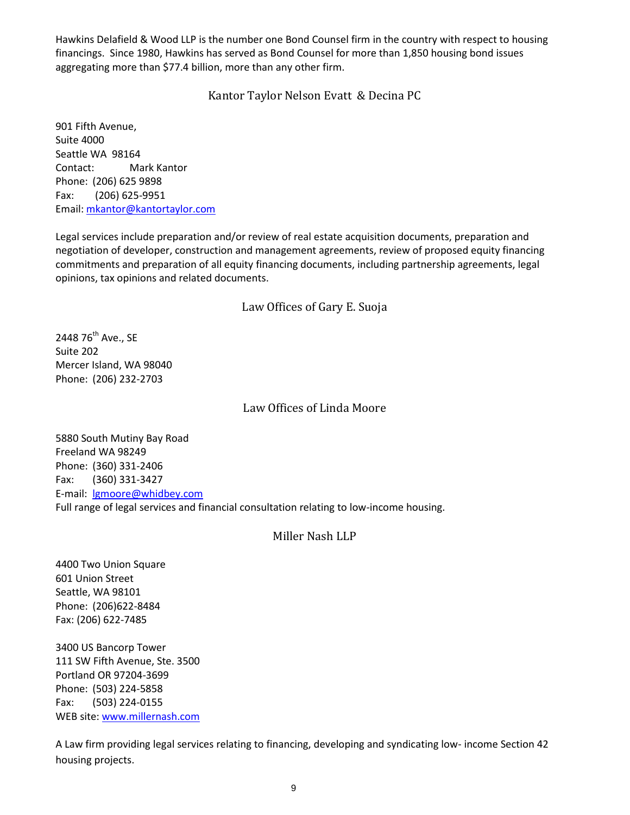Hawkins Delafield & Wood LLP is the number one Bond Counsel firm in the country with respect to housing financings. Since 1980, Hawkins has served as Bond Counsel for more than 1,850 housing bond issues aggregating more than \$77.4 billion, more than any other firm.

Kantor Taylor Nelson Evatt & Decina PC

901 Fifth Avenue, Suite 4000 Seattle WA 98164 Contact: Mark Kantor Phone: (206) 625 9898 Fax: (206) 625-9951 Email: [mkantor@kantortaylor.com](mailto:mkantor@kantortaylor.com)

Legal services include preparation and/or review of real estate acquisition documents, preparation and negotiation of developer, construction and management agreements, review of proposed equity financing commitments and preparation of all equity financing documents, including partnership agreements, legal opinions, tax opinions and related documents.

## Law Offices of Gary E. Suoja

2448 76<sup>th</sup> Ave., SE Suite 202 Mercer Island, WA 98040 Phone: (206) 232-2703

## Law Offices of Linda Moore

5880 South Mutiny Bay Road Freeland WA 98249 Phone: (360) 331-2406 Fax: (360) 331-3427 E-mail: [lgmoore@whidbey.com](mailto:lgmoore@whidbey.com) Full range of legal services and financial consultation relating to low-income housing.

#### Miller Nash LLP

4400 Two Union Square 601 Union Street Seattle, WA 98101 Phone: (206)622-8484 Fax: (206) 622-7485

3400 US Bancorp Tower 111 SW Fifth Avenue, Ste. 3500 Portland OR 97204-3699 Phone: (503) 224-5858 Fax: (503) 224-0155 WEB site: [www.millernash.com](http://www.millernash.com/)

A Law firm providing legal services relating to financing, developing and syndicating low- income Section 42 housing projects.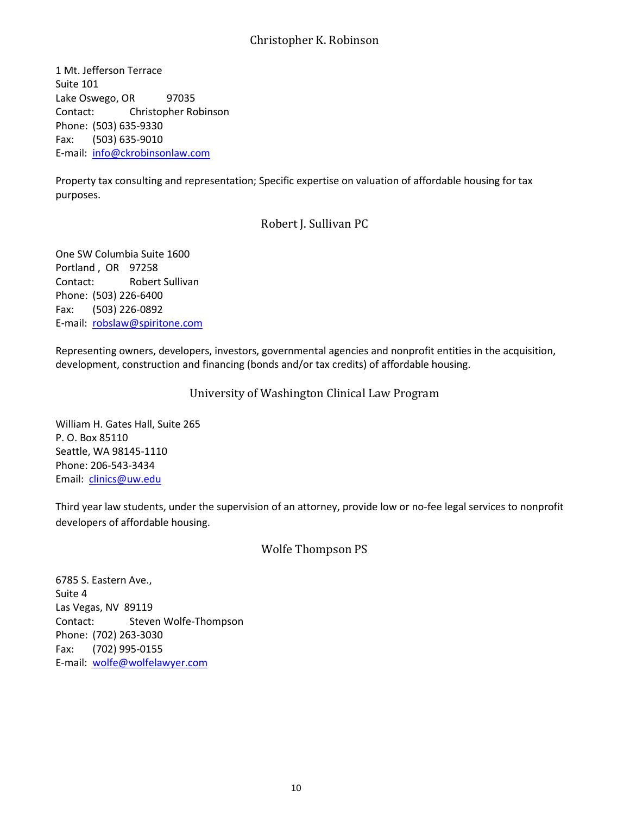## Christopher K. Robinson

1 Mt. Jefferson Terrace Suite 101 Lake Oswego, OR 97035 Contact: Christopher Robinson Phone: (503) 635-9330 Fax: (503) 635-9010 E-mail: [info@ckrobinsonlaw.com](mailto:info@ckrobinsonlaw.com)

Property tax consulting and representation; Specific expertise on valuation of affordable housing for tax purposes.

## Robert J. Sullivan PC

One SW Columbia Suite 1600 Portland , OR 97258 Contact: Robert Sullivan Phone: (503) 226-6400 Fax: (503) 226-0892 E-mail: [robslaw@spiritone.com](mailto:robslaw@spiritone.com)

Representing owners, developers, investors, governmental agencies and nonprofit entities in the acquisition, development, construction and financing (bonds and/or tax credits) of affordable housing.

## University of Washington Clinical Law Program

William H. Gates Hall, Suite 265 P. O. Box 85110 Seattle, WA 98145-1110 Phone: 206-543-3434 Email: *clinics@uw.edu* 

Third year law students, under the supervision of an attorney, provide low or no-fee legal services to nonprofit developers of affordable housing.

## Wolfe Thompson PS

6785 S. Eastern Ave., Suite 4 Las Vegas, NV 89119 Contact: Steven Wolfe-Thompson Phone: (702) 263-3030 Fax: (702) 995-0155 E-mail: [wolfe@wolfelawyer.com](mailto:wolfe@wolfelawyer.com)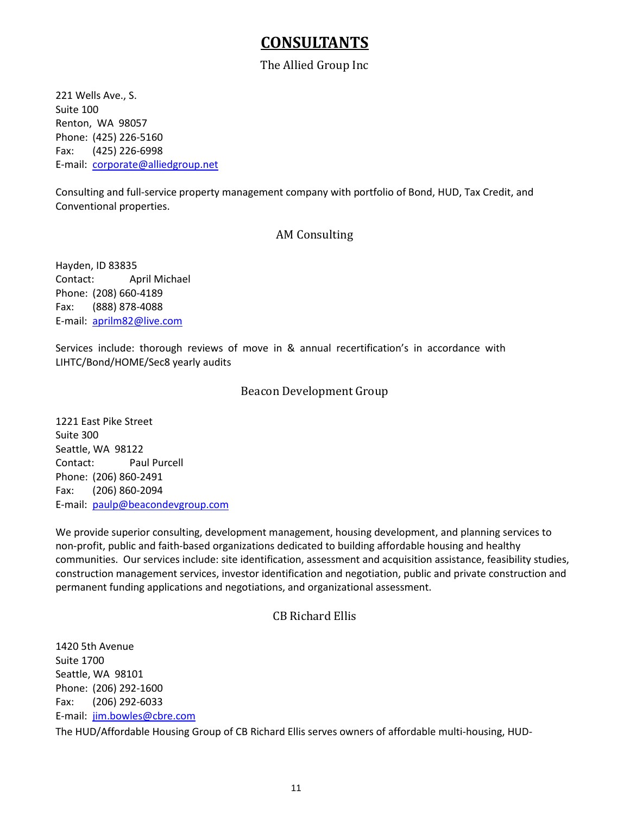# **CONSULTANTS**

## The Allied Group Inc

221 Wells Ave., S. Suite 100 Renton, WA 98057 Phone: (425) 226-5160 Fax: (425) 226-6998 E-mail: [corporate@alliedgroup.net](mailto:corporate@alliedgroup.net)

Consulting and full-service property management company with portfolio of Bond, HUD, Tax Credit, and Conventional properties.

## AM Consulting

Hayden, ID 83835 Contact: April Michael Phone: (208) 660-4189 Fax: (888) 878-4088 E-mail: [aprilm82@live.com](mailto:aprilm82@live.com)

Services include: thorough reviews of move in & annual recertification's in accordance with LIHTC/Bond/HOME/Sec8 yearly audits

## Beacon Development Group

1221 East Pike Street Suite 300 Seattle, WA 98122 Contact: Paul Purcell Phone: (206) 860-2491 Fax: (206) 860-2094 E-mail: [paulp@beacondevgroup.com](mailto:paulp@beacondevgroup.com)

We provide superior consulting, development management, housing development, and planning services to non-profit, public and faith-based organizations dedicated to building affordable housing and healthy communities. Our services include: site identification, assessment and acquisition assistance, feasibility studies, construction management services, investor identification and negotiation, public and private construction and permanent funding applications and negotiations, and organizational assessment.

## CB Richard Ellis

1420 5th Avenue Suite 1700 Seattle, WA 98101 Phone: (206) 292-1600 Fax: (206) 292-6033 E-mail: [jim.bowles@cbre.com](mailto:jim.bowles@cbre.com)

The HUD/Affordable Housing Group of CB Richard Ellis serves owners of affordable multi-housing, HUD-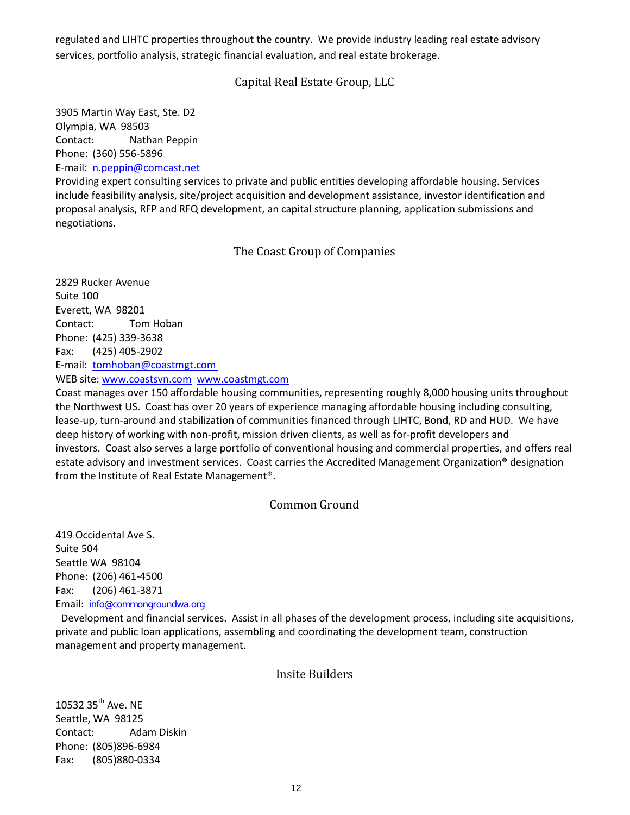regulated and LIHTC properties throughout the country. We provide industry leading real estate advisory services, portfolio analysis, strategic financial evaluation, and real estate brokerage.

## Capital Real Estate Group, LLC

3905 Martin Way East, Ste. D2 Olympia, WA 98503 Contact: Nathan Peppin Phone: (360) 556-5896

E-mail: [n.peppin@comcast.net](mailto:n.peppin@comcast.net)

Providing expert consulting services to private and public entities developing affordable housing. Services include feasibility analysis, site/project acquisition and development assistance, investor identification and proposal analysis, RFP and RFQ development, an capital structure planning, application submissions and negotiations.

## The Coast Group of Companies

2829 Rucker Avenue Suite 100 Everett, WA 98201 Contact: Tom Hoban Phone: (425) 339-3638 Fax: (425) 405-2902 E-mail: [tomhoban@coastmgt.com](mailto:tomhoban@coastmgt.com)

WEB site: [www.coastsvn.com](http://www.coastsvn.com/) [www.coastmgt.com](http://www.coastmgt.com/)

Coast manages over 150 affordable housing communities, representing roughly 8,000 housing units throughout the Northwest US. Coast has over 20 years of experience managing affordable housing including consulting, lease-up, turn-around and stabilization of communities financed through LIHTC, Bond, RD and HUD. We have deep history of working with non-profit, mission driven clients, as well as for-profit developers and investors. Coast also serves a large portfolio of conventional housing and commercial properties, and offers real estate advisory and investment services. Coast carries the Accredited Management Organization® designation from the Institute of Real Estate Management®.

## Common Ground

419 Occidental Ave S. Suite 504 Seattle WA 98104 Phone: (206) 461-4500 Fax: (206) 461-3871 Email: [info@commongroundwa.org](mailto:info@commongroundwa.org)

 Development and financial services. Assist in all phases of the development process, including site acquisitions, private and public loan applications, assembling and coordinating the development team, construction management and property management.

#### Insite Builders

10532 35<sup>th</sup> Ave. NE Seattle, WA 98125 Contact: Adam Diskin Phone: (805)896-6984 Fax: (805)880-0334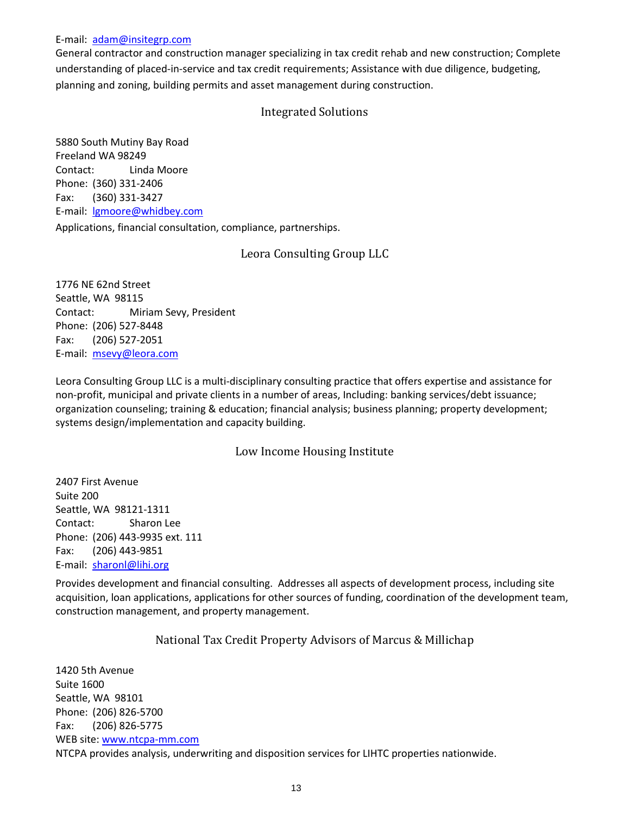#### E-mail: [adam@insitegrp.com](mailto:adam@insitegrp.com)

General contractor and construction manager specializing in tax credit rehab and new construction; Complete understanding of placed-in-service and tax credit requirements; Assistance with due diligence, budgeting, planning and zoning, building permits and asset management during construction.

## Integrated Solutions

5880 South Mutiny Bay Road Freeland WA 98249 Contact: Linda Moore Phone: (360) 331-2406 Fax: (360) 331-3427 E-mail: *Igmoore@whidbey.com* Applications, financial consultation, compliance, partnerships.

## Leora Consulting Group LLC

1776 NE 62nd Street Seattle, WA 98115 Contact: Miriam Sevy, President Phone: (206) 527-8448 Fax: (206) 527-2051 E-mail: [msevy@leora.com](mailto:willasoc@pacificrim.net)

Leora Consulting Group LLC is a multi-disciplinary consulting practice that offers expertise and assistance for non-profit, municipal and private clients in a number of areas, Including: banking services/debt issuance; organization counseling; training & education; financial analysis; business planning; property development; systems design/implementation and capacity building.

## Low Income Housing Institute

2407 First Avenue Suite 200 Seattle, WA 98121-1311 Contact: Sharon Lee Phone: (206) 443-9935 ext. 111 Fax: (206) 443-9851 E-mail: [sharonl@lihi.org](mailto:sharonl@lihi.org)

Provides development and financial consulting. Addresses all aspects of development process, including site acquisition, loan applications, applications for other sources of funding, coordination of the development team, construction management, and property management.

## National Tax Credit Property Advisors of Marcus & Millichap

1420 5th Avenue Suite 1600 Seattle, WA 98101 Phone: (206) 826-5700 Fax: (206) 826-5775 WEB site: [www.ntcpa-mm.com](http://www.ntcpa-mm.com/) NTCPA provides analysis, underwriting and disposition services for LIHTC properties nationwide.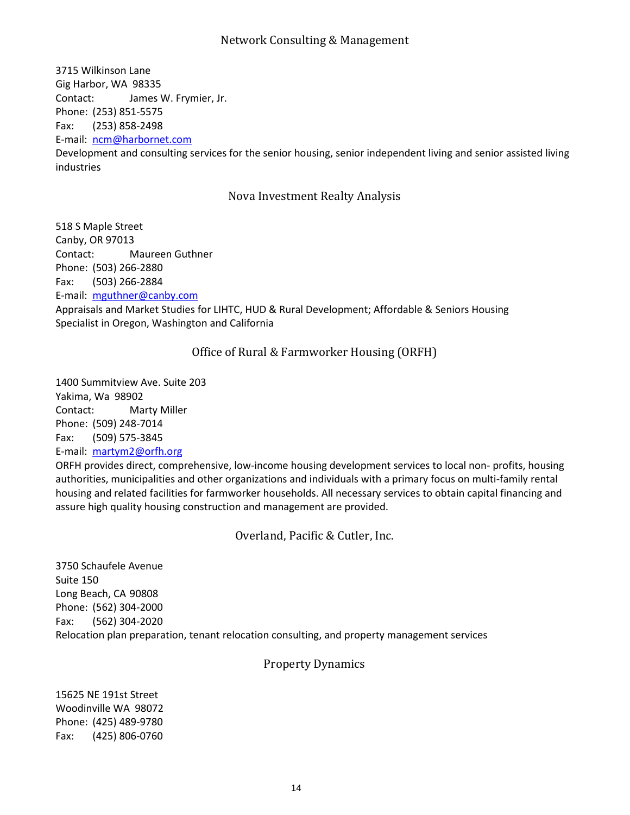## Network Consulting & Management

3715 Wilkinson Lane Gig Harbor, WA 98335 Contact: James W. Frymier, Jr. Phone: (253) 851-5575 Fax: (253) 858-2498 E-mail: [ncm@harbornet.com](mailto:ncm@harbornet.com) Development and consulting services for the senior housing, senior independent living and senior assisted living

Nova Investment Realty Analysis

518 S Maple Street Canby, OR 97013 Contact: Maureen Guthner Phone: (503) 266-2880 Fax: (503) 266-2884 E-mail: [mguthner@canby.com](mailto:mguthner@canby.com) Appraisals and Market Studies for LIHTC, HUD & Rural Development; Affordable & Seniors Housing Specialist in Oregon, Washington and California

#### Office of Rural & Farmworker Housing (ORFH)

1400 Summitview Ave. Suite 203 Yakima, Wa 98902 Contact: Marty Miller Phone: (509) 248-7014 Fax: (509) 575-3845 E-mail: [martym2@orfh.org](mailto:thirdeye@wolfenet.com)

industries

ORFH provides direct, comprehensive, low-income housing development services to local non- profits, housing authorities, municipalities and other organizations and individuals with a primary focus on multi-family rental housing and related facilities for farmworker households. All necessary services to obtain capital financing and assure high quality housing construction and management are provided.

Overland, Pacific & Cutler, Inc.

3750 Schaufele Avenue Suite 150 Long Beach, CA 90808 Phone: (562) 304-2000 Fax: (562) 304-2020 Relocation plan preparation, tenant relocation consulting, and property management services

#### Property Dynamics

15625 NE 191st Street Woodinville WA 98072 Phone: (425) 489-9780 Fax: (425) 806-0760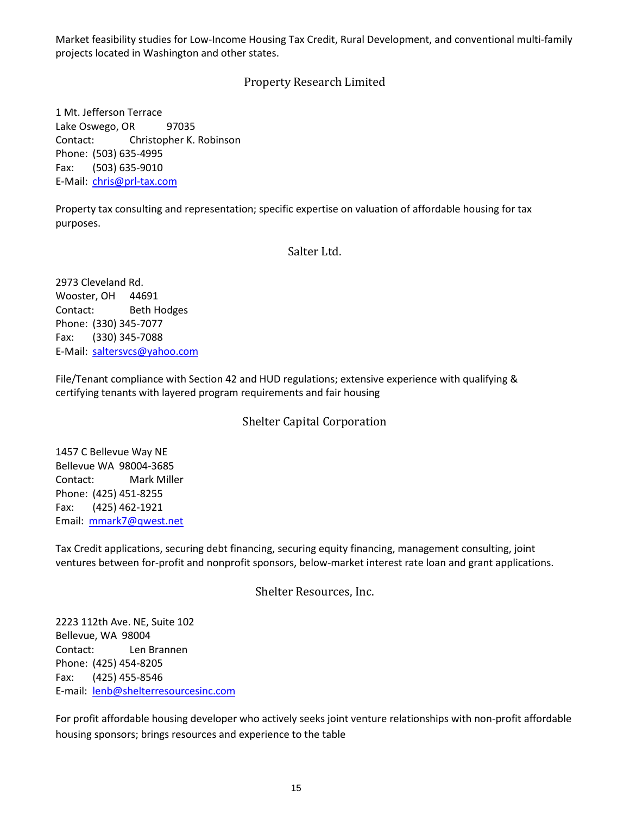Market feasibility studies for Low-Income Housing Tax Credit, Rural Development, and conventional multi-family projects located in Washington and other states.

## Property Research Limited

1 Mt. Jefferson Terrace Lake Oswego, OR 97035 Contact: Christopher K. Robinson Phone: (503) 635-4995 Fax: (503) 635-9010 E-Mail: [chris@prl-tax.com](mailto:chris@prl-tax.com)

Property tax consulting and representation; specific expertise on valuation of affordable housing for tax purposes.

#### Salter Ltd.

2973 Cleveland Rd. Wooster, OH 44691 Contact: Beth Hodges Phone: (330) 345-7077 Fax: (330) 345-7088 E-Mail: [saltersvcs@yahoo.com](mailto:saltersvcs@yahoo.com)

File/Tenant compliance with Section 42 and HUD regulations; extensive experience with qualifying & certifying tenants with layered program requirements and fair housing

## Shelter Capital Corporation

1457 C Bellevue Way NE Bellevue WA 98004-3685 Contact: Mark Miller Phone: (425) 451-8255 Fax: (425) 462-1921 Email: [mmark7@qwest.net](mailto:mmark7@qwest.net)

Tax Credit applications, securing debt financing, securing equity financing, management consulting, joint ventures between for-profit and nonprofit sponsors, below-market interest rate loan and grant applications.

## Shelter Resources, Inc.

2223 112th Ave. NE, Suite 102 Bellevue, WA 98004 Contact: Len Brannen Phone: (425) 454-8205 Fax: (425) 455-8546 E-mail: [lenb@shelterresourcesinc.com](mailto:lenb@shelterresourcesinc.com)

For profit affordable housing developer who actively seeks joint venture relationships with non-profit affordable housing sponsors; brings resources and experience to the table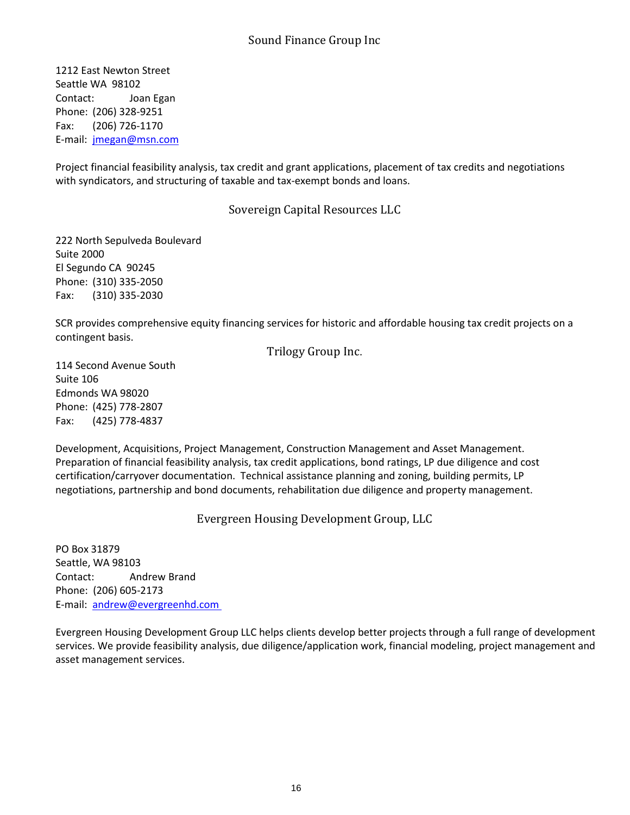1212 East Newton Street Seattle WA 98102 Contact: Joan Egan Phone: (206) 328-9251 Fax: (206) 726-1170 E-mail: [jmegan@msn.com](mailto:jmegan@msn.com)

Project financial feasibility analysis, tax credit and grant applications, placement of tax credits and negotiations with syndicators, and structuring of taxable and tax-exempt bonds and loans.

## Sovereign Capital Resources LLC

222 North Sepulveda Boulevard Suite 2000 El Segundo CA 90245 Phone: (310) 335-2050 Fax: (310) 335-2030

SCR provides comprehensive equity financing services for historic and affordable housing tax credit projects on a contingent basis.

## Trilogy Group Inc.

114 Second Avenue South Suite 106 Edmonds WA 98020 Phone: (425) 778-2807 Fax: (425) 778-4837

Development, Acquisitions, Project Management, Construction Management and Asset Management. Preparation of financial feasibility analysis, tax credit applications, bond ratings, LP due diligence and cost certification/carryover documentation. Technical assistance planning and zoning, building permits, LP negotiations, partnership and bond documents, rehabilitation due diligence and property management.

Evergreen Housing Development Group, LLC

PO Box 31879 Seattle, WA 98103 Contact: Andrew Brand Phone: (206) 605-2173 E-mail: [andrew@evergreenhd.com](mailto:andrew@evergreenhd.com)

Evergreen Housing Development Group LLC helps clients develop better projects through a full range of development services. We provide feasibility analysis, due diligence/application work, financial modeling, project management and asset management services.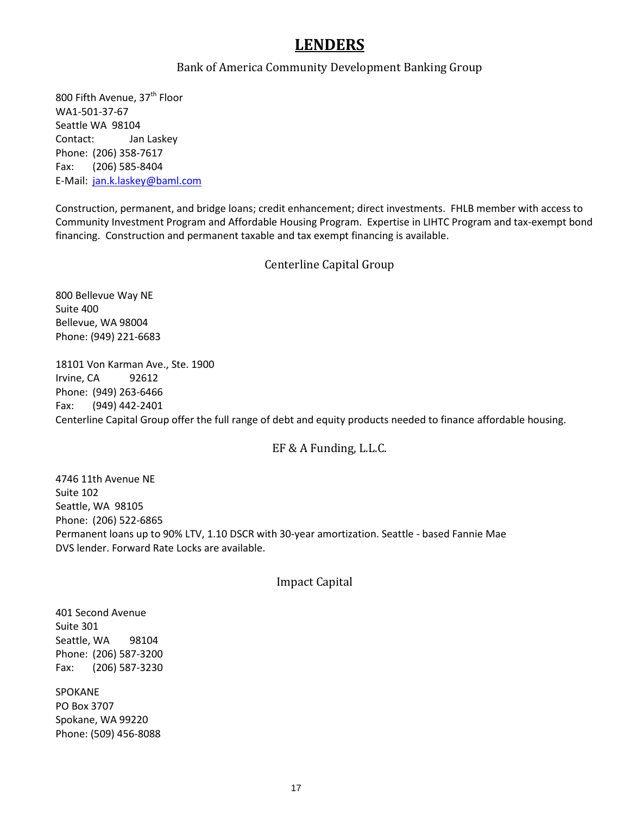# **LENDERS**

#### Bank of America Community Development Banking Group

800 Fifth Avenue, 37<sup>th</sup> Floor WA1-501-37-67 Seattle WA 98104 Contact: Jan Laskey Phone: (206) 358-7617 Fax: (206) 585-8404 E-Mail: [jan.k.laskey@baml.com](mailto:jan.k.laskey@baml.com)

Construction, permanent, and bridge loans; credit enhancement; direct investments. FHLB member with access to Community Investment Program and Affordable Housing Program. Expertise in LIHTC Program and tax-exempt bond financing. Construction and permanent taxable and tax exempt financing is available.

## Centerline Capital Group

800 Bellevue Way NE Suite 400 Bellevue, WA 98004 Phone: (949) 221-6683

18101 Von Karman Ave., Ste. 1900 Irvine, CA 92612 Phone: (949) 263-6466 Fax: (949) 442-2401 Centerline Capital Group offer the full range of debt and equity products needed to finance affordable housing.

## EF & A Funding, L.L.C.

4746 11th Avenue NE Suite 102 Seattle, WA 98105 Phone: (206) 522-6865 Permanent loans up to 90% LTV, 1.10 DSCR with 30-year amortization. Seattle - based Fannie Mae DVS lender. Forward Rate Locks are available.

#### Impact Capital

401 Second Avenue Suite 301 Seattle, WA 98104 Phone: (206) 587-3200 Fax: (206) 587-3230

SPOKANE PO Box 3707 Spokane, WA 99220 Phone: (509) 456-8088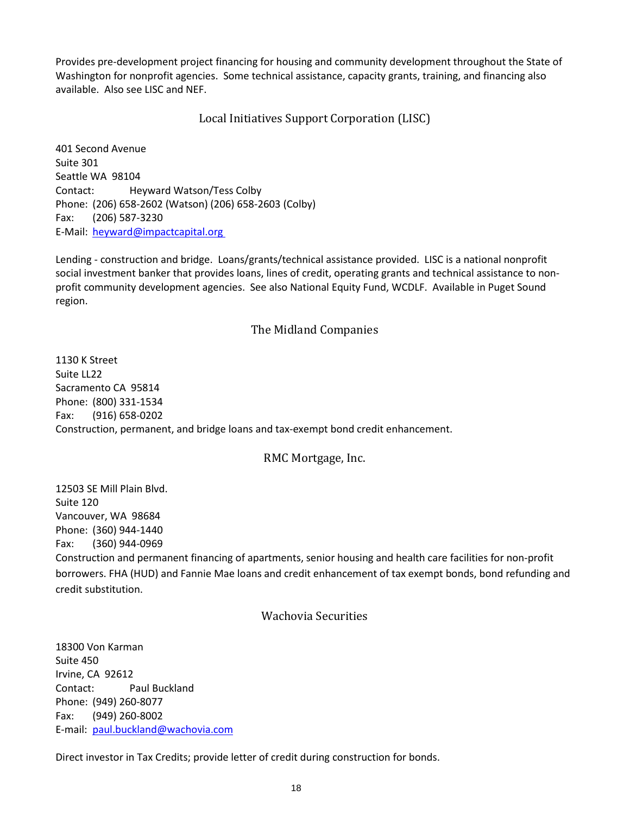Provides pre-development project financing for housing and community development throughout the State of Washington for nonprofit agencies. Some technical assistance, capacity grants, training, and financing also available. Also see LISC and NEF.

Local Initiatives Support Corporation (LISC)

401 Second Avenue Suite 301 Seattle WA 98104 Contact: Heyward Watson/Tess Colby Phone: (206) 658-2602 (Watson) (206) 658-2603 (Colby) Fax: (206) 587-3230 E-Mail: [heyward@impactcapital.org](mailto:heyward@impactcapital.org) 

Lending - construction and bridge. Loans/grants/technical assistance provided. LISC is a national nonprofit social investment banker that provides loans, lines of credit, operating grants and technical assistance to nonprofit community development agencies. See also National Equity Fund, WCDLF. Available in Puget Sound region.

#### The Midland Companies

1130 K Street Suite LL22 Sacramento CA 95814 Phone: (800) 331-1534 Fax: (916) 658-0202 Construction, permanent, and bridge loans and tax-exempt bond credit enhancement.

## RMC Mortgage, Inc.

12503 SE Mill Plain Blvd. Suite 120 Vancouver, WA 98684 Phone: (360) 944-1440 Fax: (360) 944-0969 Construction and permanent financing of apartments, senior housing and health care facilities for non-profit borrowers. FHA (HUD) and Fannie Mae loans and credit enhancement of tax exempt bonds, bond refunding and credit substitution.

#### Wachovia Securities

18300 Von Karman Suite 450 Irvine, CA 92612 Contact: Paul Buckland Phone: (949) 260-8077 Fax: (949) 260-8002 E-mail: [paul.buckland@wachovia.com](mailto:paul.buckland@wachovia.com)

Direct investor in Tax Credits; provide letter of credit during construction for bonds.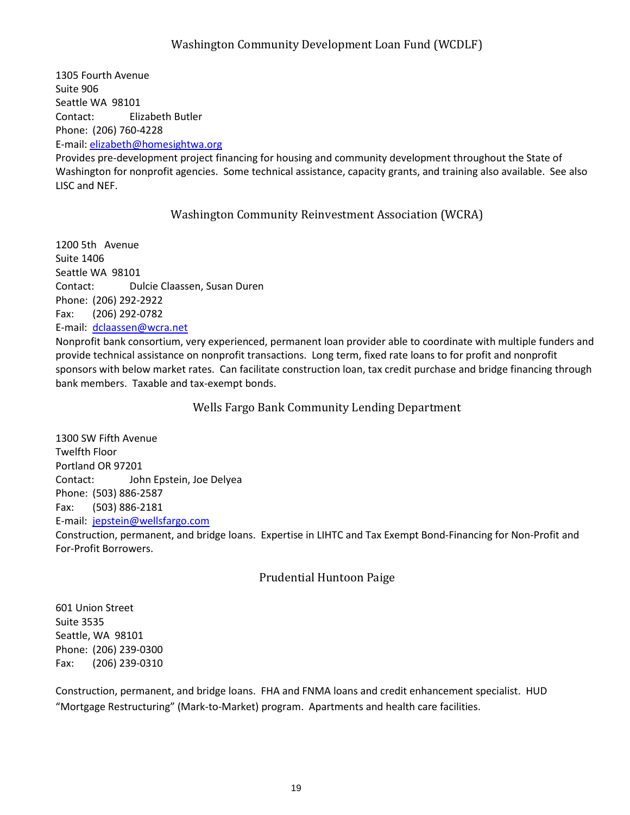## Washington Community Development Loan Fund (WCDLF)

1305 Fourth Avenue Suite 906 Seattle WA 98101 Contact: Elizabeth Butler Phone: (206) 760-4228 E-mail: [elizabeth@homesightwa.org](mailto:elizabeth@homesightwa.org)

Provides pre-development project financing for housing and community development throughout the State of Washington for nonprofit agencies. Some technical assistance, capacity grants, and training also available. See also LISC and NEF.

## Washington Community Reinvestment Association (WCRA)

1200 5th Avenue Suite 1406 Seattle WA 98101 Contact: Dulcie Claassen, Susan Duren Phone: (206) 292-2922 Fax: (206) 292-0782 E-mail: [dclaassen@wcra.net](mailto:dclaassen@wcra.net)

Nonprofit bank consortium, very experienced, permanent loan provider able to coordinate with multiple funders and provide technical assistance on nonprofit transactions. Long term, fixed rate loans to for profit and nonprofit sponsors with below market rates. Can facilitate construction loan, tax credit purchase and bridge financing through bank members. Taxable and tax-exempt bonds.

Wells Fargo Bank Community Lending Department

1300 SW Fifth Avenue Twelfth Floor Portland OR 97201 Contact: John Epstein, Joe Delyea Phone: (503) 886-2587 Fax: (503) 886-2181 E-mail: [jepstein@wellsfargo.com](mailto:jepstein@wellsfargo.com) Construction, permanent, and bridge loans. Expertise in LIHTC and Tax Exempt Bond-Financing for Non-Profit and For-Profit Borrowers.

Prudential Huntoon Paige

601 Union Street Suite 3535 Seattle, WA 98101 Phone: (206) 239-0300 Fax: (206) 239-0310

Construction, permanent, and bridge loans. FHA and FNMA loans and credit enhancement specialist. HUD "Mortgage Restructuring" (Mark-to-Market) program. Apartments and health care facilities.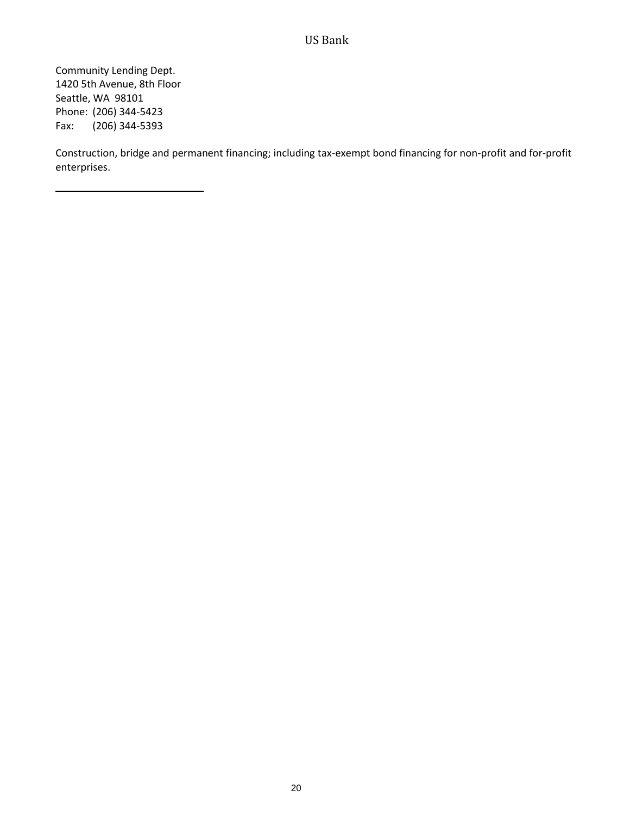## US Bank

Community Lending Dept. 1420 5th Avenue, 8th Floor Seattle, WA 98101 Phone: (206) 344-5423 Fax: (206) 344-5393

Construction, bridge and permanent financing; including tax-exempt bond financing for non-profit and for-profit enterprises.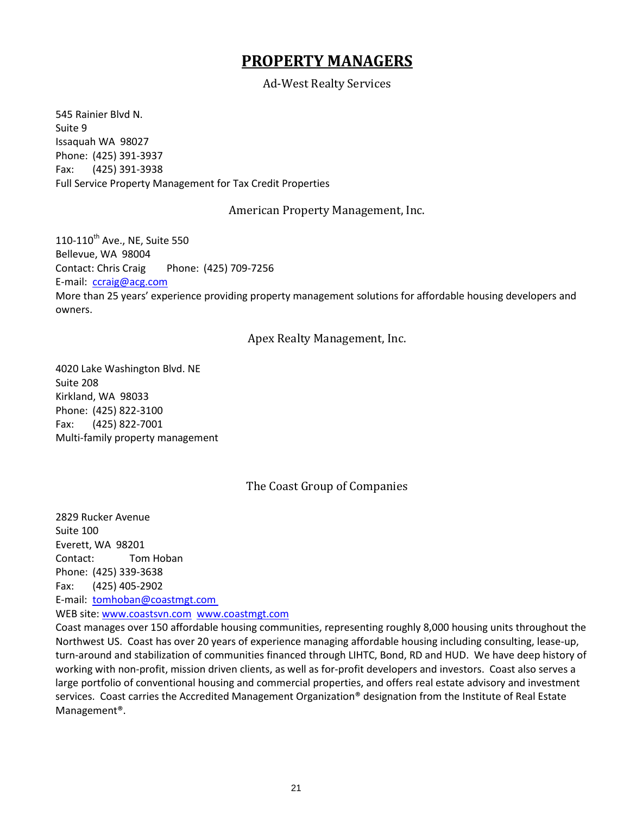# **PROPERTY MANAGERS**

Ad-West Realty Services

545 Rainier Blvd N. Suite 9 Issaquah WA 98027 Phone: (425) 391-3937 Fax: (425) 391-3938 Full Service Property Management for Tax Credit Properties

## American Property Management, Inc.

 $110-110^{th}$  Ave., NE, Suite 550 Bellevue, WA 98004 Contact: Chris Craig Phone: (425) 709-7256 E-mail: [ccraig@acg.com](mailto:ccraig@acg.com) More than 25 years' experience providing property management solutions for affordable housing developers and owners.

## Apex Realty Management, Inc.

4020 Lake Washington Blvd. NE Suite 208 Kirkland, WA 98033 Phone: (425) 822-3100 Fax: (425) 822-7001 Multi-family property management

## The Coast Group of Companies

2829 Rucker Avenue Suite 100 Everett, WA 98201 Contact: Tom Hoban Phone: (425) 339-3638 Fax: (425) 405-2902 E-mail: [tomhoban@coastmgt.com](mailto:tomhoban@coastmgt.com) WEB site: [www.coastsvn.com](http://www.coastsvn.com/) [www.coastmgt.com](http://www.coastmgt.com/)

Coast manages over 150 affordable housing communities, representing roughly 8,000 housing units throughout the Northwest US. Coast has over 20 years of experience managing affordable housing including consulting, lease-up, turn-around and stabilization of communities financed through LIHTC, Bond, RD and HUD. We have deep history of working with non-profit, mission driven clients, as well as for-profit developers and investors. Coast also serves a large portfolio of conventional housing and commercial properties, and offers real estate advisory and investment services. Coast carries the Accredited Management Organization® designation from the Institute of Real Estate Management®.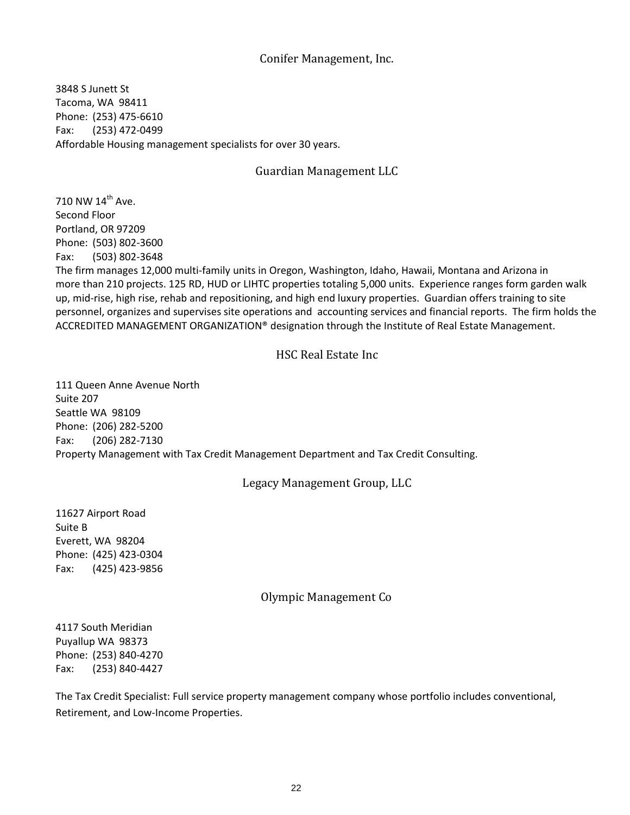## Conifer Management, Inc.

3848 S Junett St Tacoma, WA 98411 Phone: (253) 475-6610 Fax: (253) 472-0499 Affordable Housing management specialists for over 30 years.

## Guardian Management LLC

710 NW 14<sup>th</sup> Ave. Second Floor Portland, OR 97209 Phone: (503) 802-3600 Fax: (503) 802-3648 The firm manages 12,000 multi-family units in Oregon, Washington, Idaho, Hawaii, Montana and Arizona in more than 210 projects. 125 RD, HUD or LIHTC properties totaling 5,000 units. Experience ranges form garden walk up, mid-rise, high rise, rehab and repositioning, and high end luxury properties. Guardian offers training to site personnel, organizes and supervises site operations and accounting services and financial reports. The firm holds the ACCREDITED MANAGEMENT ORGANIZATION® designation through the Institute of Real Estate Management.

## HSC Real Estate Inc

111 Queen Anne Avenue North Suite 207 Seattle WA 98109 Phone: (206) 282-5200 Fax: (206) 282-7130 Property Management with Tax Credit Management Department and Tax Credit Consulting.

## Legacy Management Group, LLC

11627 Airport Road Suite B Everett, WA 98204 Phone: (425) 423-0304 Fax: (425) 423-9856

## Olympic Management Co

4117 South Meridian Puyallup WA 98373 Phone: (253) 840-4270 Fax: (253) 840-4427

The Tax Credit Specialist: Full service property management company whose portfolio includes conventional, Retirement, and Low-Income Properties.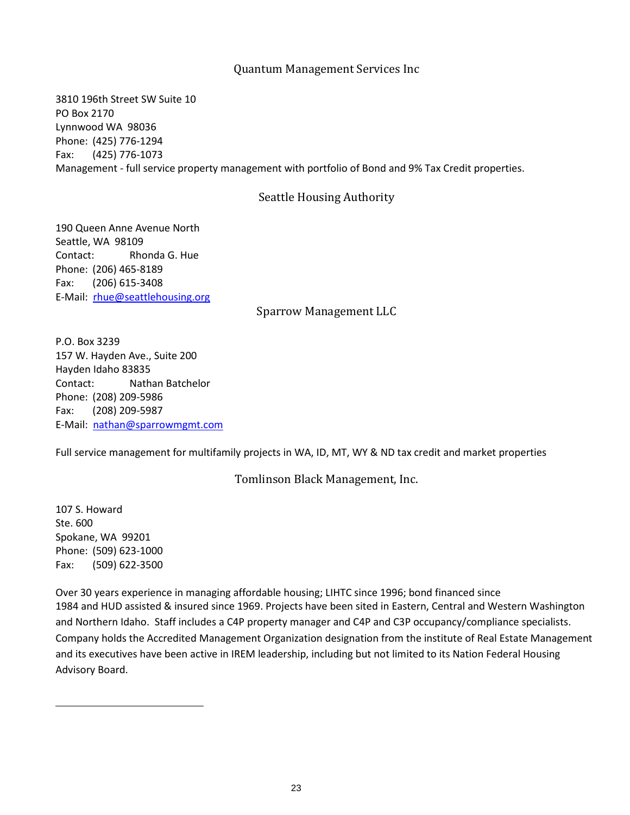### Quantum Management Services Inc

3810 196th Street SW Suite 10 PO Box 2170 Lynnwood WA 98036 Phone: (425) 776-1294 Fax: (425) 776-1073 Management - full service property management with portfolio of Bond and 9% Tax Credit properties.

#### Seattle Housing Authority

190 Queen Anne Avenue North Seattle, WA 98109 Contact: Rhonda G. Hue Phone: (206) 465-8189 Fax: (206) 615-3408 E-Mail: [rhue@seattlehousing.org](mailto:rhue@seattlehousing.org)

Sparrow Management LLC

P.O. Box 3239 157 W. Hayden Ave., Suite 200 Hayden Idaho 83835 Contact: Nathan Batchelor Phone: (208) 209-5986 Fax: (208) 209-5987 E-Mail: [nathan@sparrowmgmt.com](mailto:nathan@sparrowmgmt.com)

Full service management for multifamily projects in WA, ID, MT, WY & ND tax credit and market properties

Tomlinson Black Management, Inc.

107 S. Howard Ste. 600 Spokane, WA 99201 Phone: (509) 623-1000 Fax: (509) 622-3500

Over 30 years experience in managing affordable housing; LIHTC since 1996; bond financed since 1984 and HUD assisted & insured since 1969. Projects have been sited in Eastern, Central and Western Washington and Northern Idaho. Staff includes a C4P property manager and C4P and C3P occupancy/compliance specialists. Company holds the Accredited Management Organization designation from the institute of Real Estate Management and its executives have been active in IREM leadership, including but not limited to its Nation Federal Housing Advisory Board.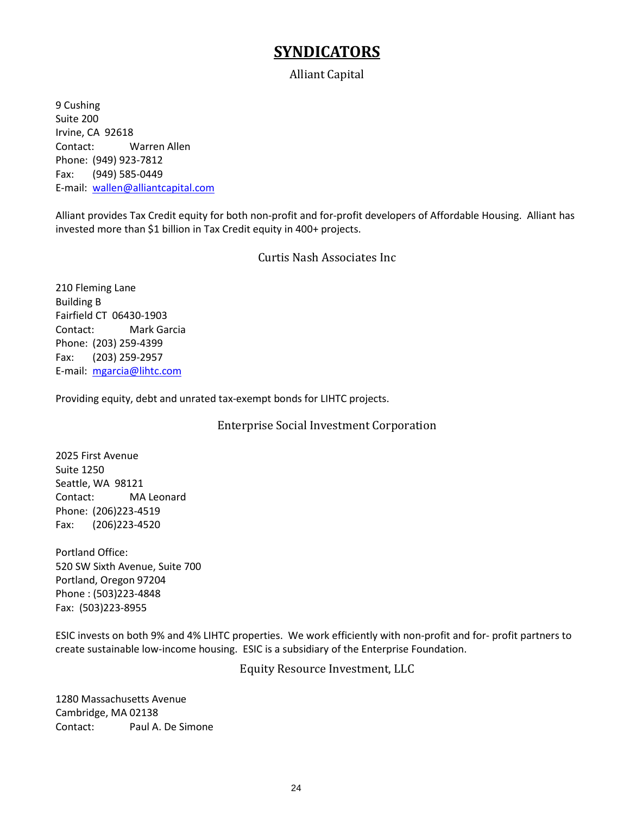# **SYNDICATORS**

## Alliant Capital

9 Cushing Suite 200 Irvine, CA 92618 Contact: Warren Allen Phone: (949) 923-7812 Fax: (949) 585-0449 E-mail: [wallen@alliantcapital.com](mailto:wallen@alliantcapital.com)

Alliant provides Tax Credit equity for both non-profit and for-profit developers of Affordable Housing. Alliant has invested more than \$1 billion in Tax Credit equity in 400+ projects.

Curtis Nash Associates Inc

210 Fleming Lane Building B Fairfield CT 06430-1903 Contact: Mark Garcia Phone: (203) 259-4399 Fax: (203) 259-2957 E-mail: [mgarcia@lihtc.com](mailto:mgarcia@lihtc.com)

Providing equity, debt and unrated tax-exempt bonds for LIHTC projects.

Enterprise Social Investment Corporation

2025 First Avenue Suite 1250 Seattle, WA 98121 Contact: MA Leonard Phone: (206)223-4519 Fax: (206)223-4520

Portland Office: 520 SW Sixth Avenue, Suite 700 Portland, Oregon 97204 Phone : (503)223-4848 Fax: (503)223-8955

ESIC invests on both 9% and 4% LIHTC properties. We work efficiently with non-profit and for- profit partners to create sustainable low-income housing. ESIC is a subsidiary of the Enterprise Foundation.

Equity Resource Investment, LLC

1280 Massachusetts Avenue Cambridge, MA 02138 Contact: Paul A. De Simone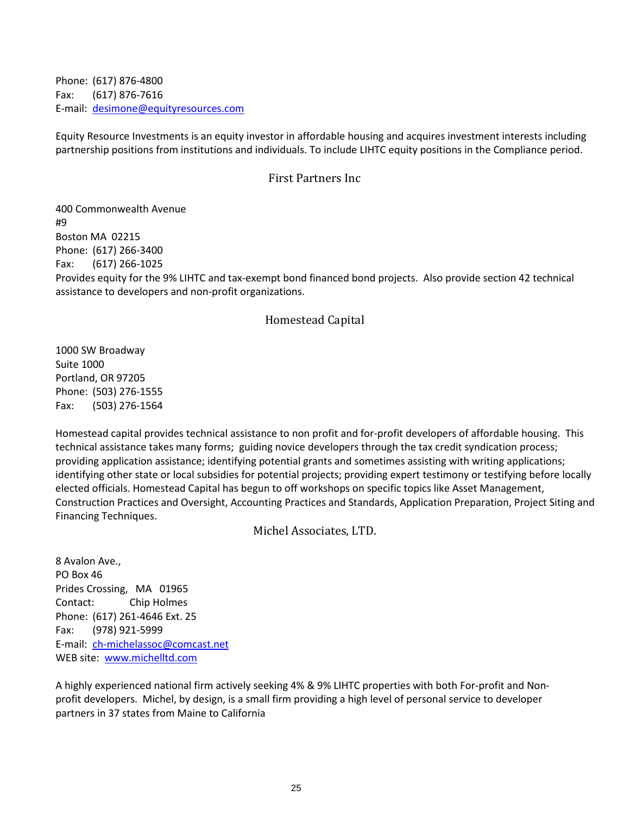Phone: (617) 876-4800 Fax: (617) 876-7616 E-mail: [desimone@equityresources.com](mailto:desimone@equityresources.com)

Equity Resource Investments is an equity investor in affordable housing and acquires investment interests including partnership positions from institutions and individuals. To include LIHTC equity positions in the Compliance period.

### First Partners Inc

400 Commonwealth Avenue #9 Boston MA 02215 Phone: (617) 266-3400 Fax: (617) 266-1025 Provides equity for the 9% LIHTC and tax-exempt bond financed bond projects. Also provide section 42 technical assistance to developers and non-profit organizations.

## Homestead Capital

1000 SW Broadway Suite 1000 Portland, OR 97205 Phone: (503) 276-1555 Fax: (503) 276-1564

Homestead capital provides technical assistance to non profit and for-profit developers of affordable housing. This technical assistance takes many forms; guiding novice developers through the tax credit syndication process; providing application assistance; identifying potential grants and sometimes assisting with writing applications; identifying other state or local subsidies for potential projects; providing expert testimony or testifying before locally elected officials. Homestead Capital has begun to off workshops on specific topics like Asset Management, Construction Practices and Oversight, Accounting Practices and Standards, Application Preparation, Project Siting and Financing Techniques.

Michel Associates, LTD.

8 Avalon Ave., PO Box 46 Prides Crossing, MA 01965 Contact: Chip Holmes Phone: (617) 261-4646 Ext. 25 Fax: (978) 921-5999 E-mail: [ch-michelassoc@comcast.net](mailto:gentryt@trgofct.com) WEB site: [www.michelltd.com](http://www.michelltd.com/)

A highly experienced national firm actively seeking 4% & 9% LIHTC properties with both For-profit and Nonprofit developers. Michel, by design, is a small firm providing a high level of personal service to developer partners in 37 states from Maine to California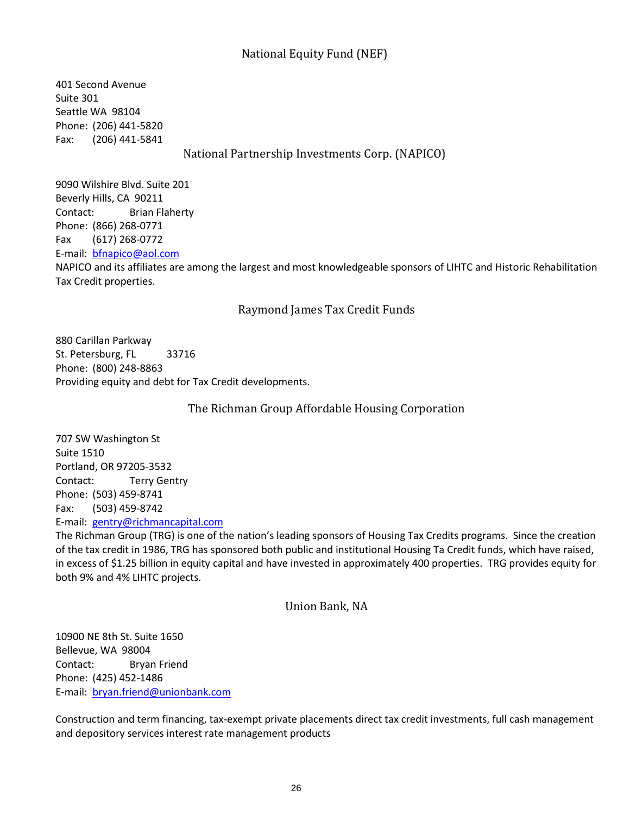## National Equity Fund (NEF)

401 Second Avenue Suite 301 Seattle WA 98104 Phone: (206) 441-5820 Fax: (206) 441-5841 National Partnership Investments Corp. (NAPICO)

9090 Wilshire Blvd. Suite 201 Beverly Hills, CA 90211 Contact: Brian Flaherty Phone: (866) 268-0771 Fax (617) 268-0772 E-mail: [bfnapico@aol.com](mailto:bfnapico@aol.com) NAPICO and its affiliates are among the largest and most knowledgeable sponsors of LIHTC and Historic Rehabilitation Tax Credit properties.

## Raymond James Tax Credit Funds

880 Carillan Parkway St. Petersburg, FL 33716 Phone: (800) 248-8863 Providing equity and debt for Tax Credit developments.

The Richman Group Affordable Housing Corporation

707 SW Washington St Suite 1510 Portland, OR 97205-3532 Contact: Terry Gentry Phone: (503) 459-8741 Fax: (503) 459-8742 E-mail: [gentry@richmancapital.com](mailto:gentry@richmancapital.com)

The Richman Group (TRG) is one of the nation's leading sponsors of Housing Tax Credits programs. Since the creation of the tax credit in 1986, TRG has sponsored both public and institutional Housing Ta Credit funds, which have raised, in excess of \$1.25 billion in equity capital and have invested in approximately 400 properties. TRG provides equity for both 9% and 4% LIHTC projects.

Union Bank, NA

10900 NE 8th St. Suite 1650 Bellevue, WA 98004 Contact: Bryan Friend Phone: (425) 452-1486 E-mail: [bryan.friend@unionbank.com](mailto:bryan.friend@unionbank.com)

Construction and term financing, tax-exempt private placements direct tax credit investments, full cash management and depository services interest rate management products